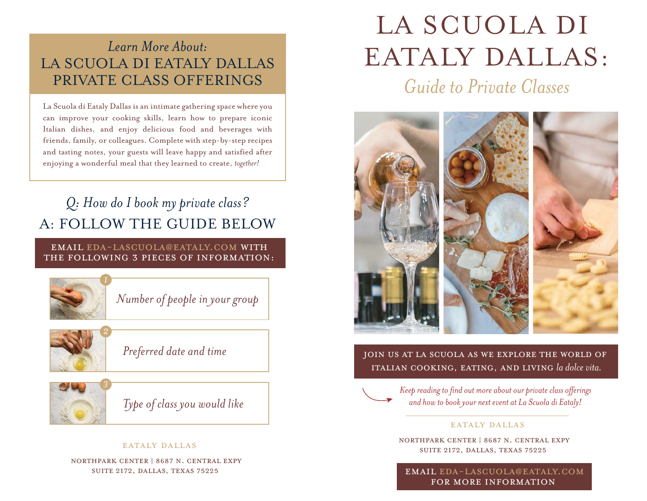## *Learn More About:* LA SCUOLA DI EATALY DALLAS PRIVATE CLASS OFFERINGS

La Scuola di Eataly Dallas is an intimate gathering space where you can improve your cooking skills, learn how to prepare iconic Italian dishes, and enjoy delicious food and beverages with friends, family, or colleagues. Complete with step-by-step recipes and tasting notes, your guests will leave happy and satisfied after enjoying a wonderful meal that they learned to create, *together!*

## *Q: How do I book my private class?* A: FOLLOW THE GUIDE BELOW

### Email eda-lascuola@eataly.com with the following 3 PIECES OF information:



*Number of people in your group*



*Preferred date and time*



*Type of class you would like*

### EATALY DALLAS

NorthPark Center | 8687 N. Central Expy Suite 2172, Dallas, Texas 75225

# LA SCUOLA DI EATALY DALLAS:

*Guide to Private Classes*



Join us at La Scuola as we explore the world of Italian cooking, eating, and living *la dolce vita.*



*Keep reading to find out more about our private class offerings and how to book your next event at La Scuola di Eataly!* 

### EATALY DALLAS

NorthPark Center | 8687 N. Central Expy Suite 2172, Dallas, Texas 75225

Email eda-lascuola@eataly.com for more information